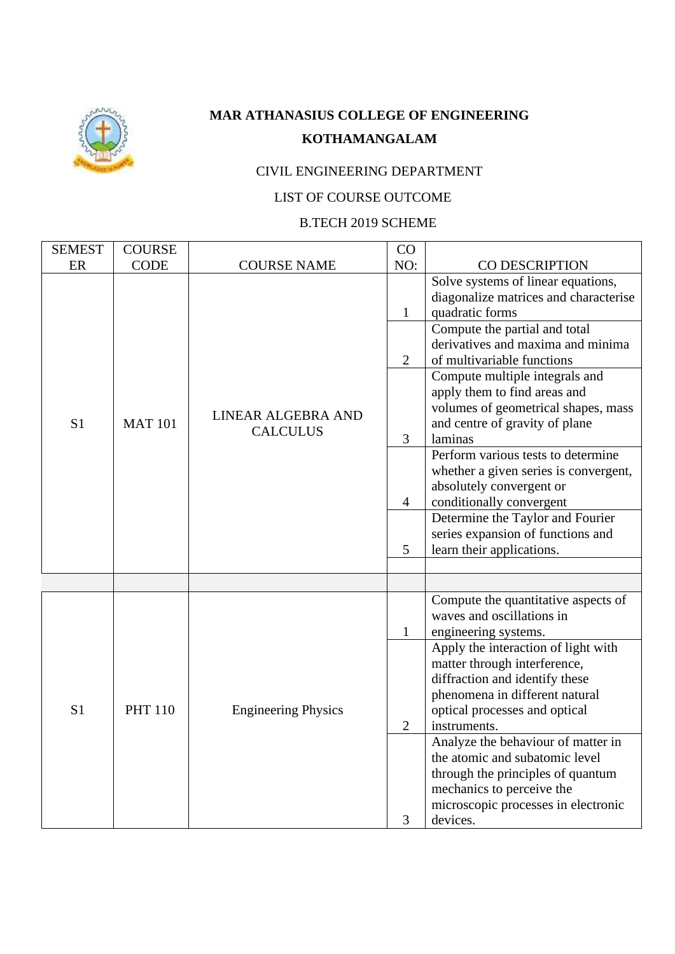

## **MAR ATHANASIUS COLLEGE OF ENGINEERING KOTHAMANGALAM**

## CIVIL ENGINEERING DEPARTMENT

## LIST OF COURSE OUTCOME

## B.TECH 2019 SCHEME

| <b>SEMEST</b>  | <b>COURSE</b>  |                                       | CO                                                         |                                                                                                                                                                                                                                                                                                                                                                                                                                                                                                                                                                                                       |
|----------------|----------------|---------------------------------------|------------------------------------------------------------|-------------------------------------------------------------------------------------------------------------------------------------------------------------------------------------------------------------------------------------------------------------------------------------------------------------------------------------------------------------------------------------------------------------------------------------------------------------------------------------------------------------------------------------------------------------------------------------------------------|
| ER             | <b>CODE</b>    | <b>COURSE NAME</b>                    | NO:                                                        | CO DESCRIPTION                                                                                                                                                                                                                                                                                                                                                                                                                                                                                                                                                                                        |
| S <sub>1</sub> | <b>MAT 101</b> | LINEAR ALGEBRA AND<br><b>CALCULUS</b> | $\mathbf{1}$<br>$\overline{2}$<br>3<br>$\overline{4}$<br>5 | Solve systems of linear equations,<br>diagonalize matrices and characterise<br>quadratic forms<br>Compute the partial and total<br>derivatives and maxima and minima<br>of multivariable functions<br>Compute multiple integrals and<br>apply them to find areas and<br>volumes of geometrical shapes, mass<br>and centre of gravity of plane<br>laminas<br>Perform various tests to determine<br>whether a given series is convergent,<br>absolutely convergent or<br>conditionally convergent<br>Determine the Taylor and Fourier<br>series expansion of functions and<br>learn their applications. |
| S <sub>1</sub> | <b>PHT 110</b> | <b>Engineering Physics</b>            | $\mathbf{1}$<br>$\overline{2}$<br>3                        | Compute the quantitative aspects of<br>waves and oscillations in<br>engineering systems.<br>Apply the interaction of light with<br>matter through interference,<br>diffraction and identify these<br>phenomena in different natural<br>optical processes and optical<br>instruments.<br>Analyze the behaviour of matter in<br>the atomic and subatomic level<br>through the principles of quantum<br>mechanics to perceive the<br>microscopic processes in electronic<br>devices.                                                                                                                     |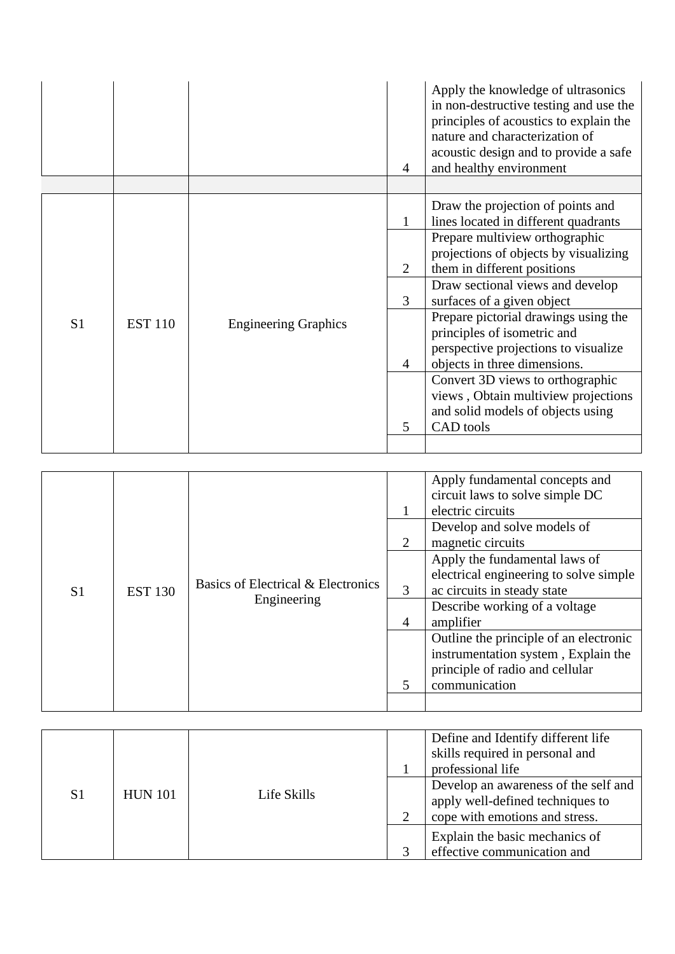|                |                |                             | 4           | Apply the knowledge of ultrasonics<br>in non-destructive testing and use the<br>principles of acoustics to explain the<br>nature and characterization of<br>acoustic design and to provide a safe<br>and healthy environment                                                                                  |
|----------------|----------------|-----------------------------|-------------|---------------------------------------------------------------------------------------------------------------------------------------------------------------------------------------------------------------------------------------------------------------------------------------------------------------|
|                |                |                             | 2           | Draw the projection of points and<br>lines located in different quadrants<br>Prepare multiview orthographic<br>projections of objects by visualizing<br>them in different positions<br>Draw sectional views and develop                                                                                       |
| S <sub>1</sub> | <b>EST 110</b> | <b>Engineering Graphics</b> | 3<br>4<br>5 | surfaces of a given object<br>Prepare pictorial drawings using the<br>principles of isometric and<br>perspective projections to visualize<br>objects in three dimensions.<br>Convert 3D views to orthographic<br>views, Obtain multiview projections<br>and solid models of objects using<br><b>CAD</b> tools |

|                |                |                                    |                             | Apply fundamental concepts and<br>circuit laws to solve simple DC<br>electric circuits                           |
|----------------|----------------|------------------------------------|-----------------------------|------------------------------------------------------------------------------------------------------------------|
|                |                |                                    | $\mathcal{D}_{\mathcal{L}}$ | Develop and solve models of<br>magnetic circuits                                                                 |
| S <sub>1</sub> | <b>EST 130</b> | Basics of Electrical & Electronics | 3                           | Apply the fundamental laws of<br>electrical engineering to solve simple<br>ac circuits in steady state           |
|                |                | Engineering                        | 4                           | Describe working of a voltage<br>amplifier                                                                       |
|                |                |                                    |                             | Outline the principle of an electronic<br>instrumentation system, Explain the<br>principle of radio and cellular |
|                |                |                                    |                             | communication                                                                                                    |

| S <sub>1</sub> | <b>HUN 101</b> | Life Skills | Define and Identify different life<br>skills required in personal and<br>professional life                 |
|----------------|----------------|-------------|------------------------------------------------------------------------------------------------------------|
|                |                |             | Develop an awareness of the self and<br>apply well-defined techniques to<br>cope with emotions and stress. |
|                |                |             | Explain the basic mechanics of<br>effective communication and                                              |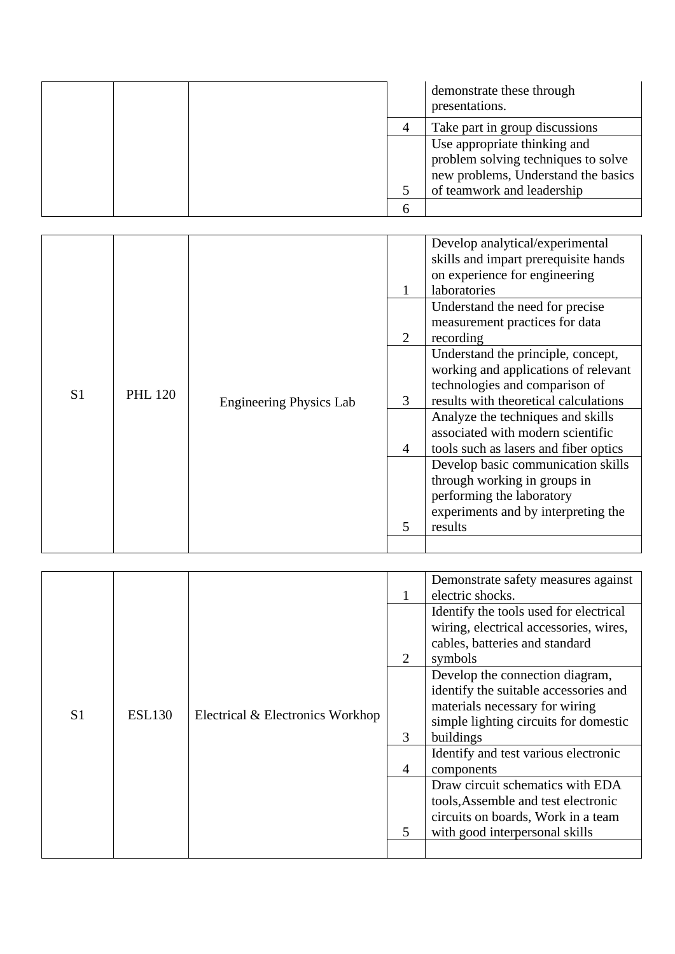|  |  | demonstrate these through<br>presentations.                                                                                              |
|--|--|------------------------------------------------------------------------------------------------------------------------------------------|
|  |  | Take part in group discussions                                                                                                           |
|  |  | Use appropriate thinking and<br>problem solving techniques to solve<br>new problems, Understand the basics<br>of teamwork and leadership |
|  |  |                                                                                                                                          |

| S <sub>1</sub> | <b>PHL 120</b> | Engineering Physics Lab | 2<br>3<br>4 | Develop analytical/experimental<br>skills and impart prerequisite hands<br>on experience for engineering<br>laboratories<br>Understand the need for precise<br>measurement practices for data<br>recording<br>Understand the principle, concept,<br>working and applications of relevant<br>technologies and comparison of<br>results with theoretical calculations<br>Analyze the techniques and skills<br>associated with modern scientific<br>tools such as lasers and fiber optics<br>Develop basic communication skills |
|----------------|----------------|-------------------------|-------------|------------------------------------------------------------------------------------------------------------------------------------------------------------------------------------------------------------------------------------------------------------------------------------------------------------------------------------------------------------------------------------------------------------------------------------------------------------------------------------------------------------------------------|
|                |                |                         | 5           | through working in groups in<br>performing the laboratory<br>experiments and by interpreting the<br>results                                                                                                                                                                                                                                                                                                                                                                                                                  |
|                |                |                         |             |                                                                                                                                                                                                                                                                                                                                                                                                                                                                                                                              |

| S <sub>1</sub> | <b>ESL130</b> | Electrical & Electronics Workhop | $\mathcal{F}$<br>4 | Demonstrate safety measures against<br>electric shocks.<br>Identify the tools used for electrical<br>wiring, electrical accessories, wires,<br>cables, batteries and standard<br>symbols<br>Develop the connection diagram,<br>identify the suitable accessories and<br>materials necessary for wiring<br>simple lighting circuits for domestic<br>buildings<br>Identify and test various electronic<br>components<br>Draw circuit schematics with EDA<br>tools, Assemble and test electronic<br>circuits on boards, Work in a team |
|----------------|---------------|----------------------------------|--------------------|-------------------------------------------------------------------------------------------------------------------------------------------------------------------------------------------------------------------------------------------------------------------------------------------------------------------------------------------------------------------------------------------------------------------------------------------------------------------------------------------------------------------------------------|
|                |               |                                  | 5                  | with good interpersonal skills                                                                                                                                                                                                                                                                                                                                                                                                                                                                                                      |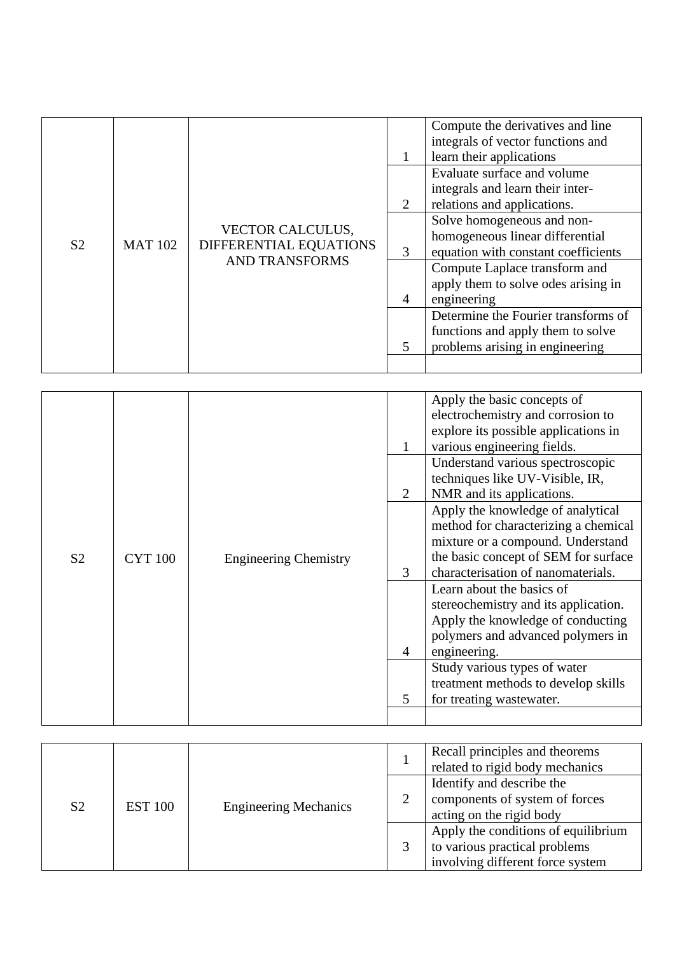| S <sub>2</sub> | <b>MAT 102</b> | <b>VECTOR CALCULUS,</b><br>DIFFERENTIAL EQUATIONS<br><b>AND TRANSFORMS</b> | $\mathcal{D}_{\mathcal{L}}$<br>3<br>4 | Compute the derivatives and line<br>integrals of vector functions and<br>learn their applications<br>Evaluate surface and volume<br>integrals and learn their inter-<br>relations and applications.<br>Solve homogeneous and non-<br>homogeneous linear differential<br>equation with constant coefficients<br>Compute Laplace transform and<br>apply them to solve odes arising in<br>engineering<br>Determine the Fourier transforms of<br>functions and apply them to solve<br>problems arising in engineering |
|----------------|----------------|----------------------------------------------------------------------------|---------------------------------------|-------------------------------------------------------------------------------------------------------------------------------------------------------------------------------------------------------------------------------------------------------------------------------------------------------------------------------------------------------------------------------------------------------------------------------------------------------------------------------------------------------------------|
|----------------|----------------|----------------------------------------------------------------------------|---------------------------------------|-------------------------------------------------------------------------------------------------------------------------------------------------------------------------------------------------------------------------------------------------------------------------------------------------------------------------------------------------------------------------------------------------------------------------------------------------------------------------------------------------------------------|

| S <sub>2</sub><br><b>CYT 100</b> | <b>Engineering Chemistry</b> | 3<br>4 | Apply the basic concepts of<br>electrochemistry and corrosion to<br>explore its possible applications in<br>various engineering fields.<br>Understand various spectroscopic<br>techniques like UV-Visible, IR,<br>NMR and its applications.<br>Apply the knowledge of analytical<br>method for characterizing a chemical<br>mixture or a compound. Understand<br>the basic concept of SEM for surface<br>characterisation of nanomaterials.<br>Learn about the basics of<br>stereochemistry and its application.<br>Apply the knowledge of conducting<br>polymers and advanced polymers in<br>engineering.<br>Study various types of water<br>treatment methods to develop skills<br>for treating wastewater. |
|----------------------------------|------------------------------|--------|---------------------------------------------------------------------------------------------------------------------------------------------------------------------------------------------------------------------------------------------------------------------------------------------------------------------------------------------------------------------------------------------------------------------------------------------------------------------------------------------------------------------------------------------------------------------------------------------------------------------------------------------------------------------------------------------------------------|
|----------------------------------|------------------------------|--------|---------------------------------------------------------------------------------------------------------------------------------------------------------------------------------------------------------------------------------------------------------------------------------------------------------------------------------------------------------------------------------------------------------------------------------------------------------------------------------------------------------------------------------------------------------------------------------------------------------------------------------------------------------------------------------------------------------------|

|                |                | <b>Engineering Mechanics</b> | Recall principles and theorems<br>related to rigid body mechanics                                        |
|----------------|----------------|------------------------------|----------------------------------------------------------------------------------------------------------|
| S <sub>2</sub> | <b>EST 100</b> |                              | Identify and describe the<br>components of system of forces<br>acting on the rigid body                  |
|                |                |                              | Apply the conditions of equilibrium<br>to various practical problems<br>involving different force system |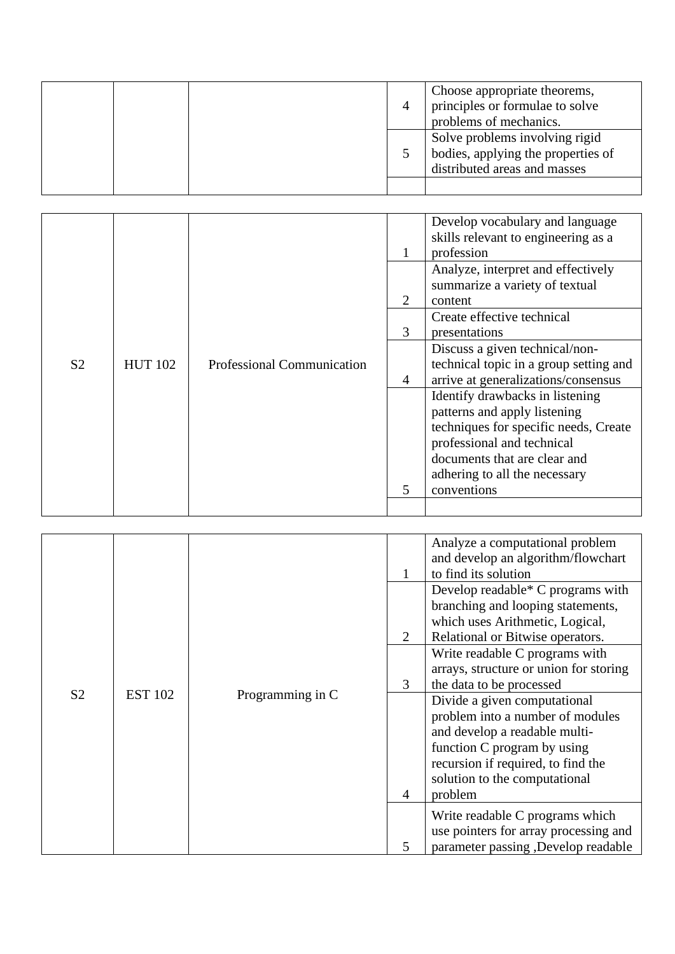|  | Choose appropriate theorems,<br>principles or formulae to solve<br>problems of mechanics.            |
|--|------------------------------------------------------------------------------------------------------|
|  | Solve problems involving rigid<br>bodies, applying the properties of<br>distributed areas and masses |

|                |                |                            |   | Develop vocabulary and language<br>skills relevant to engineering as a<br>profession                                                                                                                    |
|----------------|----------------|----------------------------|---|---------------------------------------------------------------------------------------------------------------------------------------------------------------------------------------------------------|
|                |                |                            | 2 | Analyze, interpret and effectively<br>summarize a variety of textual<br>content                                                                                                                         |
|                |                |                            | 3 | Create effective technical<br>presentations                                                                                                                                                             |
| S <sub>2</sub> | <b>HUT 102</b> | Professional Communication | 4 | Discuss a given technical/non-<br>technical topic in a group setting and<br>arrive at generalizations/consensus                                                                                         |
|                |                |                            |   | Identify drawbacks in listening<br>patterns and apply listening<br>techniques for specific needs, Create<br>professional and technical<br>documents that are clear and<br>adhering to all the necessary |
|                |                |                            | 5 | conventions                                                                                                                                                                                             |
|                |                |                            |   |                                                                                                                                                                                                         |

|                |                |                  |   | Analyze a computational problem        |
|----------------|----------------|------------------|---|----------------------------------------|
|                |                |                  |   | and develop an algorithm/flowchart     |
|                |                |                  |   | to find its solution                   |
|                |                |                  |   | Develop readable* C programs with      |
|                |                |                  |   | branching and looping statements,      |
|                |                |                  |   | which uses Arithmetic, Logical,        |
|                |                |                  | 2 | Relational or Bitwise operators.       |
|                |                |                  |   | Write readable C programs with         |
|                |                |                  |   | arrays, structure or union for storing |
|                |                |                  | 3 | the data to be processed               |
| S <sub>2</sub> | <b>EST 102</b> | Programming in C |   | Divide a given computational           |
|                |                |                  |   | problem into a number of modules       |
|                |                |                  |   | and develop a readable multi-          |
|                |                |                  |   | function C program by using            |
|                |                |                  |   | recursion if required, to find the     |
|                |                |                  |   | solution to the computational          |
|                |                |                  | 4 | problem                                |
|                |                |                  |   | Write readable C programs which        |
|                |                |                  |   | use pointers for array processing and  |
|                |                |                  | 5 | parameter passing , Develop readable   |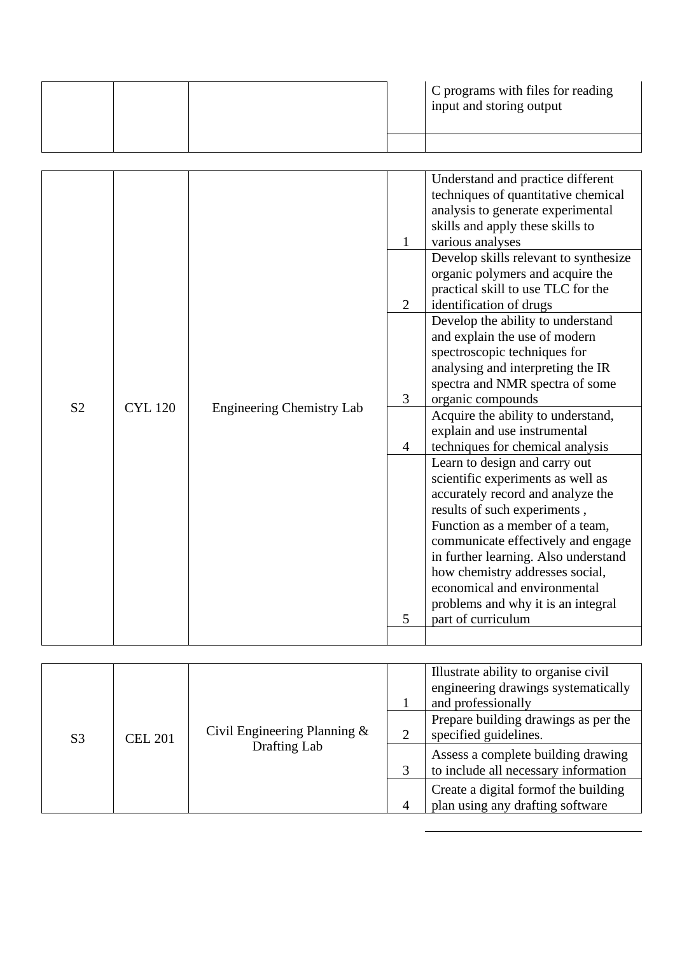|  |  | C programs with files for reading<br>input and storing output |
|--|--|---------------------------------------------------------------|
|  |  |                                                               |

|                |                                                         |                                 |                   | Understand and practice different                                       |  |  |
|----------------|---------------------------------------------------------|---------------------------------|-------------------|-------------------------------------------------------------------------|--|--|
|                |                                                         |                                 |                   | techniques of quantitative chemical                                     |  |  |
|                |                                                         |                                 |                   | analysis to generate experimental                                       |  |  |
|                |                                                         |                                 |                   | skills and apply these skills to                                        |  |  |
|                |                                                         |                                 | $\mathbf{1}$      | various analyses                                                        |  |  |
|                |                                                         |                                 |                   | Develop skills relevant to synthesize                                   |  |  |
|                |                                                         |                                 |                   | organic polymers and acquire the                                        |  |  |
|                |                                                         |                                 |                   | practical skill to use TLC for the                                      |  |  |
|                |                                                         |                                 | $\overline{2}$    | identification of drugs                                                 |  |  |
|                |                                                         |                                 |                   | Develop the ability to understand                                       |  |  |
|                |                                                         |                                 |                   | and explain the use of modern                                           |  |  |
|                |                                                         |                                 |                   | spectroscopic techniques for                                            |  |  |
|                |                                                         |                                 |                   | analysing and interpreting the IR                                       |  |  |
|                | 3<br><b>CYL 120</b><br><b>Engineering Chemistry Lab</b> | spectra and NMR spectra of some |                   |                                                                         |  |  |
| S <sub>2</sub> |                                                         |                                 | organic compounds |                                                                         |  |  |
|                |                                                         |                                 |                   | Acquire the ability to understand,                                      |  |  |
|                |                                                         |                                 |                   | explain and use instrumental                                            |  |  |
|                |                                                         |                                 | $\overline{4}$    | techniques for chemical analysis                                        |  |  |
|                |                                                         |                                 |                   | Learn to design and carry out                                           |  |  |
|                |                                                         |                                 |                   | scientific experiments as well as                                       |  |  |
|                |                                                         |                                 |                   | accurately record and analyze the                                       |  |  |
|                |                                                         |                                 |                   | results of such experiments,                                            |  |  |
|                |                                                         |                                 |                   | Function as a member of a team,                                         |  |  |
|                |                                                         |                                 |                   | communicate effectively and engage                                      |  |  |
|                |                                                         |                                 |                   | in further learning. Also understand<br>how chemistry addresses social, |  |  |
|                |                                                         |                                 |                   | economical and environmental                                            |  |  |
|                |                                                         |                                 |                   | problems and why it is an integral                                      |  |  |
|                |                                                         |                                 | 5                 | part of curriculum                                                      |  |  |
|                |                                                         |                                 |                   |                                                                         |  |  |

| S <sub>3</sub> |                |                                 | Illustrate ability to organise civil<br>engineering drawings systematically<br>and professionally |
|----------------|----------------|---------------------------------|---------------------------------------------------------------------------------------------------|
|                | <b>CEL 201</b> | Civil Engineering Planning $\&$ | Prepare building drawings as per the<br>specified guidelines.                                     |
|                |                | Drafting Lab                    | Assess a complete building drawing<br>to include all necessary information                        |
|                |                |                                 | Create a digital form of the building<br>plan using any drafting software                         |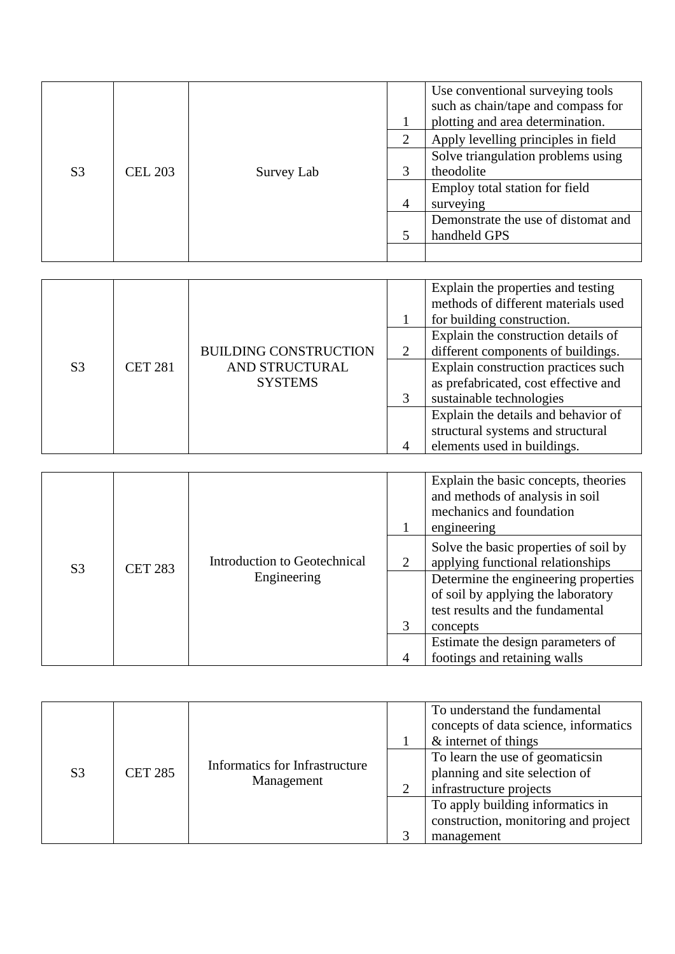|                |                |            |   | Use conventional surveying tools<br>such as chain/tape and compass for<br>plotting and area determination. |
|----------------|----------------|------------|---|------------------------------------------------------------------------------------------------------------|
|                |                |            | ◠ | Apply levelling principles in field                                                                        |
|                |                |            |   | Solve triangulation problems using                                                                         |
| S <sub>3</sub> | <b>CEL 203</b> | Survey Lab |   | theodolite                                                                                                 |
|                |                |            |   | Employ total station for field                                                                             |
|                |                |            | 4 | surveying                                                                                                  |
|                |                |            |   | Demonstrate the use of distomat and                                                                        |
|                |                |            |   | handheld GPS                                                                                               |
|                |                |            |   |                                                                                                            |

|                |                |                              |                             | Explain the properties and testing<br>methods of different materials used |
|----------------|----------------|------------------------------|-----------------------------|---------------------------------------------------------------------------|
|                |                |                              |                             | for building construction.                                                |
|                |                |                              |                             | Explain the construction details of                                       |
|                |                | <b>BUILDING CONSTRUCTION</b> | $\mathcal{D}_{\mathcal{L}}$ | different components of buildings.                                        |
| S <sub>3</sub> | <b>CET 281</b> | AND STRUCTURAL               |                             | Explain construction practices such                                       |
|                |                | <b>SYSTEMS</b>               |                             | as prefabricated, cost effective and                                      |
|                |                |                              | 3                           | sustainable technologies                                                  |
|                |                |                              |                             | Explain the details and behavior of                                       |
|                |                |                              |                             | structural systems and structural                                         |
|                |                |                              |                             | elements used in buildings.                                               |

| S <sub>3</sub> |                |                              |          | Explain the basic concepts, theories<br>and methods of analysis in soil<br>mechanics and foundation<br>engineering<br>Solve the basic properties of soil by<br>applying functional relationships |  |
|----------------|----------------|------------------------------|----------|--------------------------------------------------------------------------------------------------------------------------------------------------------------------------------------------------|--|
|                | <b>CET 283</b> | Introduction to Geotechnical | <u>າ</u> |                                                                                                                                                                                                  |  |
|                | Engineering    |                              |          | Determine the engineering properties<br>of soil by applying the laboratory<br>test results and the fundamental                                                                                   |  |
|                |                |                              |          | concepts                                                                                                                                                                                         |  |
|                |                |                              |          | Estimate the design parameters of                                                                                                                                                                |  |
|                |                |                              |          | footings and retaining walls                                                                                                                                                                     |  |

|                |                |                                              | To understand the fundamental<br>concepts of data science, informatics<br>& internet of things |
|----------------|----------------|----------------------------------------------|------------------------------------------------------------------------------------------------|
| S <sub>3</sub> | <b>CET 285</b> | Informatics for Infrastructure<br>Management | To learn the use of geomatics in<br>planning and site selection of<br>infrastructure projects  |
|                |                |                                              | To apply building informatics in<br>construction, monitoring and project                       |
|                |                |                                              | management                                                                                     |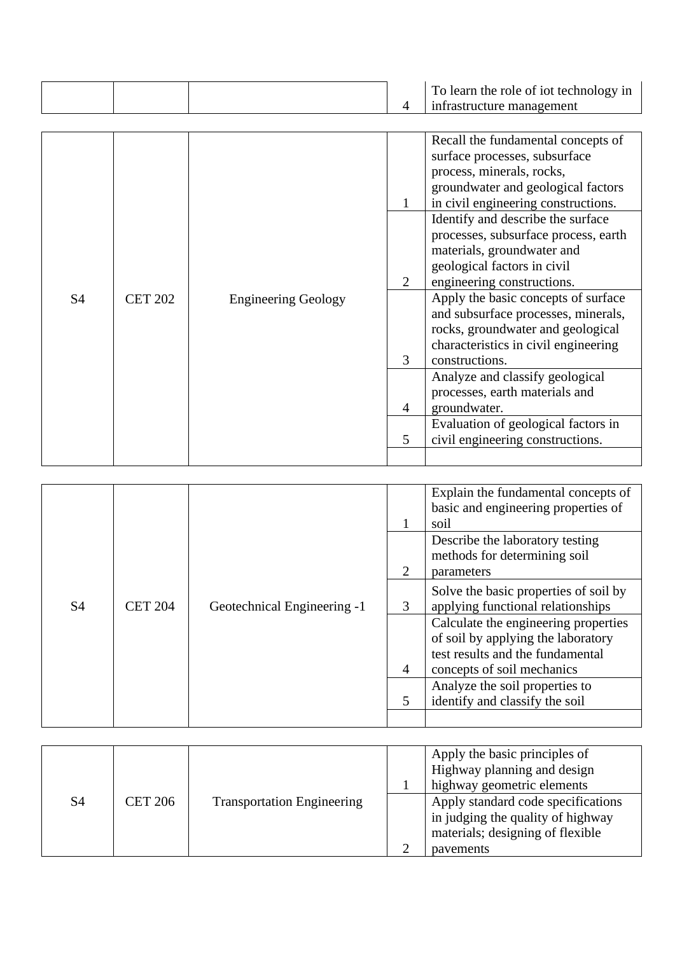|  |  | To learn the role of iot technology in |
|--|--|----------------------------------------|
|  |  | infrastructure management              |

| <b>S4</b> | <b>CET 202</b> | <b>Engineering Geology</b> | 2<br>$\mathcal{F}$<br>4<br>5. | Recall the fundamental concepts of<br>surface processes, subsurface<br>process, minerals, rocks,<br>groundwater and geological factors<br>in civil engineering constructions.<br>Identify and describe the surface<br>processes, subsurface process, earth<br>materials, groundwater and<br>geological factors in civil<br>engineering constructions.<br>Apply the basic concepts of surface<br>and subsurface processes, minerals,<br>rocks, groundwater and geological<br>characteristics in civil engineering<br>constructions.<br>Analyze and classify geological<br>processes, earth materials and<br>groundwater.<br>Evaluation of geological factors in<br>civil engineering constructions. |
|-----------|----------------|----------------------------|-------------------------------|----------------------------------------------------------------------------------------------------------------------------------------------------------------------------------------------------------------------------------------------------------------------------------------------------------------------------------------------------------------------------------------------------------------------------------------------------------------------------------------------------------------------------------------------------------------------------------------------------------------------------------------------------------------------------------------------------|
|-----------|----------------|----------------------------|-------------------------------|----------------------------------------------------------------------------------------------------------------------------------------------------------------------------------------------------------------------------------------------------------------------------------------------------------------------------------------------------------------------------------------------------------------------------------------------------------------------------------------------------------------------------------------------------------------------------------------------------------------------------------------------------------------------------------------------------|

|           |                |                             |   | Explain the fundamental concepts of<br>basic and engineering properties of<br>soil                             |
|-----------|----------------|-----------------------------|---|----------------------------------------------------------------------------------------------------------------|
|           |                |                             |   | Describe the laboratory testing<br>methods for determining soil<br>parameters                                  |
| <b>S4</b> | <b>CET 204</b> | Geotechnical Engineering -1 | 3 | Solve the basic properties of soil by<br>applying functional relationships                                     |
|           |                |                             |   | Calculate the engineering properties<br>of soil by applying the laboratory<br>test results and the fundamental |
|           |                |                             | 4 | concepts of soil mechanics<br>Analyze the soil properties to                                                   |
|           |                |                             |   | identify and classify the soil                                                                                 |
|           |                |                             |   |                                                                                                                |

|    |                |                                   | Apply the basic principles of<br>Highway planning and design<br>highway geometric elements                  |
|----|----------------|-----------------------------------|-------------------------------------------------------------------------------------------------------------|
| S4 | <b>CET 206</b> | <b>Transportation Engineering</b> | Apply standard code specifications<br>in judging the quality of highway<br>materials; designing of flexible |
|    |                |                                   | pavements                                                                                                   |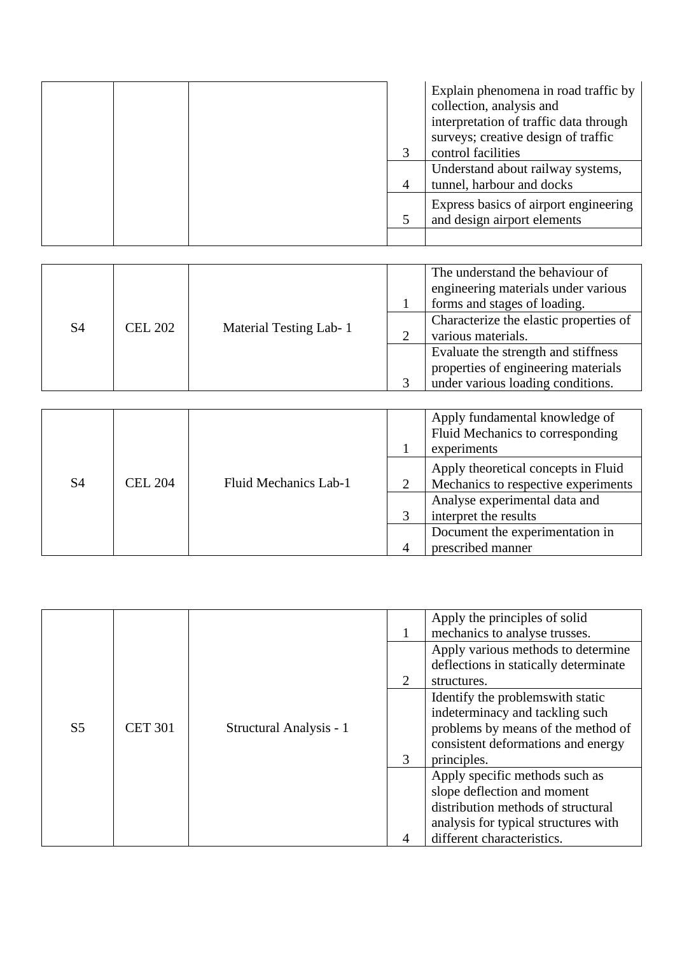|  |  |   | Explain phenomena in road traffic by<br>collection, analysis and<br>interpretation of traffic data through<br>surveys; creative design of traffic<br>control facilities |
|--|--|---|-------------------------------------------------------------------------------------------------------------------------------------------------------------------------|
|  |  | 4 | Understand about railway systems,<br>tunnel, harbour and docks                                                                                                          |
|  |  |   | Express basics of airport engineering<br>and design airport elements                                                                                                    |
|  |  |   |                                                                                                                                                                         |

|                |                |                        | The understand the behaviour of<br>engineering materials under various<br>forms and stages of loading.          |
|----------------|----------------|------------------------|-----------------------------------------------------------------------------------------------------------------|
| S <sub>4</sub> | <b>CEL 202</b> | Material Testing Lab-1 | Characterize the elastic properties of<br>various materials.                                                    |
|                |                |                        | Evaluate the strength and stiffness<br>properties of engineering materials<br>under various loading conditions. |

|                |                |                       | Apply fundamental knowledge of<br>Fluid Mechanics to corresponding<br>experiments                           |
|----------------|----------------|-----------------------|-------------------------------------------------------------------------------------------------------------|
| S <sub>4</sub> | <b>CEL 204</b> | Fluid Mechanics Lab-1 | Apply theoretical concepts in Fluid<br>Mechanics to respective experiments<br>Analyse experimental data and |
|                |                |                       | interpret the results                                                                                       |
|                |                |                       |                                                                                                             |
|                |                |                       | Document the experimentation in<br>prescribed manner                                                        |

|                |                |                         |   | Apply the principles of solid<br>mechanics to analyse trusses.              |
|----------------|----------------|-------------------------|---|-----------------------------------------------------------------------------|
|                |                |                         |   | Apply various methods to determine<br>deflections in statically determinate |
|                |                |                         |   | structures.                                                                 |
|                |                |                         |   | Identify the problems with static                                           |
|                |                |                         |   | indeterminacy and tackling such                                             |
| S <sub>5</sub> | <b>CET 301</b> | Structural Analysis - 1 |   | problems by means of the method of                                          |
|                |                |                         |   | consistent deformations and energy                                          |
|                |                |                         | 3 | principles.                                                                 |
|                |                |                         |   | Apply specific methods such as                                              |
|                |                |                         |   | slope deflection and moment                                                 |
|                |                |                         |   | distribution methods of structural                                          |
|                |                |                         |   | analysis for typical structures with                                        |
|                |                |                         | 4 | different characteristics.                                                  |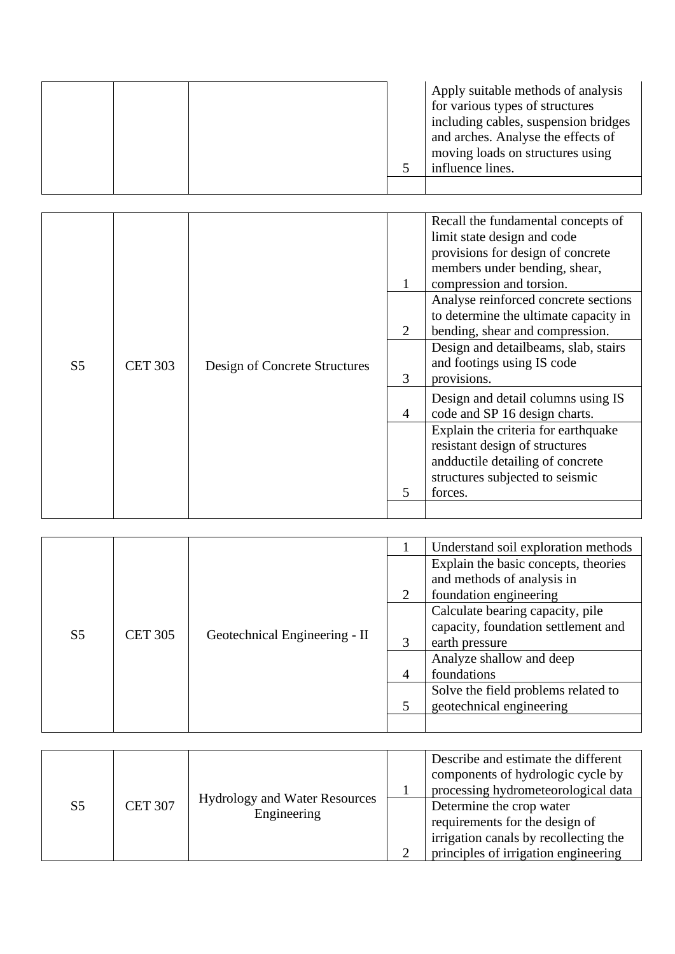|  |  | Apply suitable methods of analysis<br>for various types of structures<br>including cables, suspension bridges<br>and arches. Analyse the effects of<br>moving loads on structures using<br>influence lines. |
|--|--|-------------------------------------------------------------------------------------------------------------------------------------------------------------------------------------------------------------|
|  |  |                                                                                                                                                                                                             |

| S <sub>5</sub> | <b>CET 303</b> | Design of Concrete Structures | $\mathcal{D}_{\mathcal{L}}$<br>3<br>4<br>5 | Recall the fundamental concepts of<br>limit state design and code<br>provisions for design of concrete<br>members under bending, shear,<br>compression and torsion.<br>Analyse reinforced concrete sections<br>to determine the ultimate capacity in<br>bending, shear and compression.<br>Design and detailbeams, slab, stairs<br>and footings using IS code<br>provisions.<br>Design and detail columns using IS<br>code and SP 16 design charts.<br>Explain the criteria for earthquake<br>resistant design of structures<br>and ductile detailing of concrete<br>structures subjected to seismic<br>forces. |
|----------------|----------------|-------------------------------|--------------------------------------------|-----------------------------------------------------------------------------------------------------------------------------------------------------------------------------------------------------------------------------------------------------------------------------------------------------------------------------------------------------------------------------------------------------------------------------------------------------------------------------------------------------------------------------------------------------------------------------------------------------------------|
|----------------|----------------|-------------------------------|--------------------------------------------|-----------------------------------------------------------------------------------------------------------------------------------------------------------------------------------------------------------------------------------------------------------------------------------------------------------------------------------------------------------------------------------------------------------------------------------------------------------------------------------------------------------------------------------------------------------------------------------------------------------------|

|                |                |                               | Understand soil exploration methods                                |
|----------------|----------------|-------------------------------|--------------------------------------------------------------------|
|                |                |                               | Explain the basic concepts, theories<br>and methods of analysis in |
|                |                |                               | foundation engineering                                             |
|                |                |                               | Calculate bearing capacity, pile                                   |
| S <sub>5</sub> | <b>CET 305</b> | Geotechnical Engineering - II | capacity, foundation settlement and                                |
|                |                |                               | earth pressure                                                     |
|                |                |                               | Analyze shallow and deep                                           |
|                |                |                               | foundations                                                        |
|                |                |                               | Solve the field problems related to                                |
|                |                |                               | geotechnical engineering                                           |
|                |                |                               |                                                                    |

| S5 |                |                                              | Describe and estimate the different<br>components of hydrologic cycle by<br>processing hydrometeorological data |                                       |
|----|----------------|----------------------------------------------|-----------------------------------------------------------------------------------------------------------------|---------------------------------------|
|    | <b>CET 307</b> | Hydrology and Water Resources<br>Engineering |                                                                                                                 | Determine the crop water              |
|    |                |                                              |                                                                                                                 | requirements for the design of        |
|    |                |                                              |                                                                                                                 | irrigation canals by recollecting the |
|    |                |                                              |                                                                                                                 | principles of irrigation engineering  |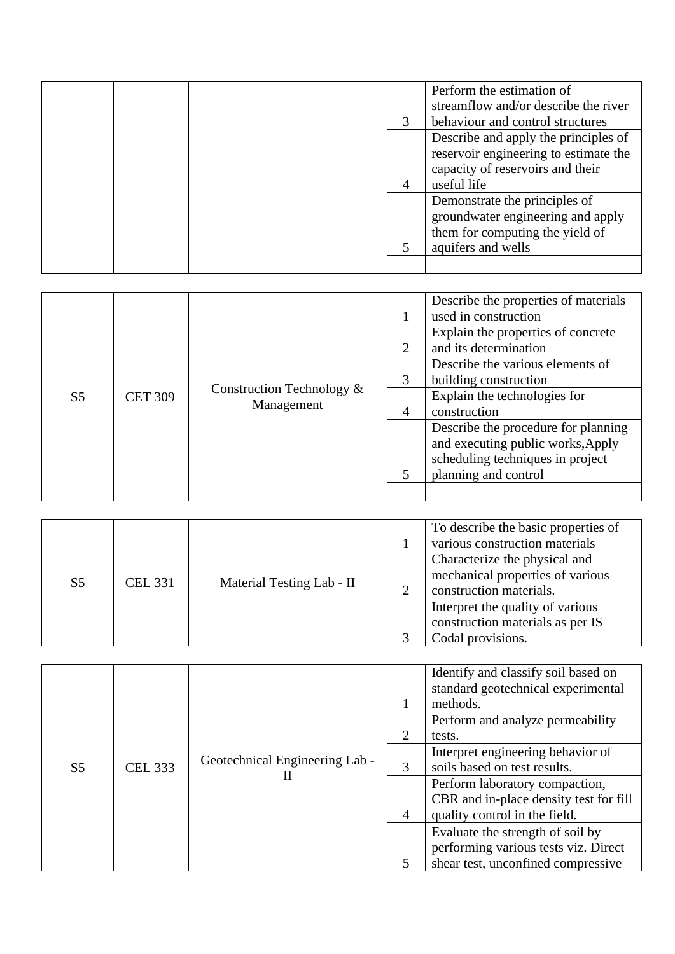|  |   | Perform the estimation of<br>streamflow and/or describe the river<br>behaviour and control structures                            |
|--|---|----------------------------------------------------------------------------------------------------------------------------------|
|  | 4 | Describe and apply the principles of<br>reservoir engineering to estimate the<br>capacity of reservoirs and their<br>useful life |
|  |   | Demonstrate the principles of<br>groundwater engineering and apply<br>them for computing the yield of<br>aquifers and wells      |
|  |   |                                                                                                                                  |

|                |                |                                            |                             | Describe the properties of materials<br>used in construction                                                                         |  |
|----------------|----------------|--------------------------------------------|-----------------------------|--------------------------------------------------------------------------------------------------------------------------------------|--|
|                |                |                                            | $\mathcal{D}_{\mathcal{L}}$ | Explain the properties of concrete<br>and its determination                                                                          |  |
|                |                | Construction Technology $\&$<br>Management |                             | Describe the various elements of<br>building construction                                                                            |  |
| S <sub>5</sub> | <b>CET 309</b> |                                            | 4                           | Explain the technologies for<br>construction                                                                                         |  |
|                |                |                                            |                             | Describe the procedure for planning<br>and executing public works, Apply<br>scheduling techniques in project<br>planning and control |  |
|                |                |                                            |                             |                                                                                                                                      |  |

|                |                |                           | To describe the basic properties of<br>various construction materials                        |
|----------------|----------------|---------------------------|----------------------------------------------------------------------------------------------|
| S <sub>5</sub> | <b>CEL 331</b> | Material Testing Lab - II | Characterize the physical and<br>mechanical properties of various<br>construction materials. |
|                |                |                           | Interpret the quality of various<br>construction materials as per IS<br>Codal provisions.    |

|                |                                                  |  |   | Identify and classify soil based on<br>standard geotechnical experimental |
|----------------|--------------------------------------------------|--|---|---------------------------------------------------------------------------|
|                |                                                  |  |   | methods.                                                                  |
|                |                                                  |  |   | Perform and analyze permeability                                          |
|                |                                                  |  |   | tests.                                                                    |
|                | Geotechnical Engineering Lab -<br><b>CEL 333</b> |  |   | Interpret engineering behavior of                                         |
| S <sub>5</sub> |                                                  |  | 3 | soils based on test results.                                              |
|                |                                                  |  |   | Perform laboratory compaction,                                            |
|                |                                                  |  |   | CBR and in-place density test for fill                                    |
|                |                                                  |  | 4 | quality control in the field.                                             |
|                |                                                  |  |   | Evaluate the strength of soil by                                          |
|                |                                                  |  |   | performing various tests viz. Direct                                      |
|                |                                                  |  |   | shear test, unconfined compressive                                        |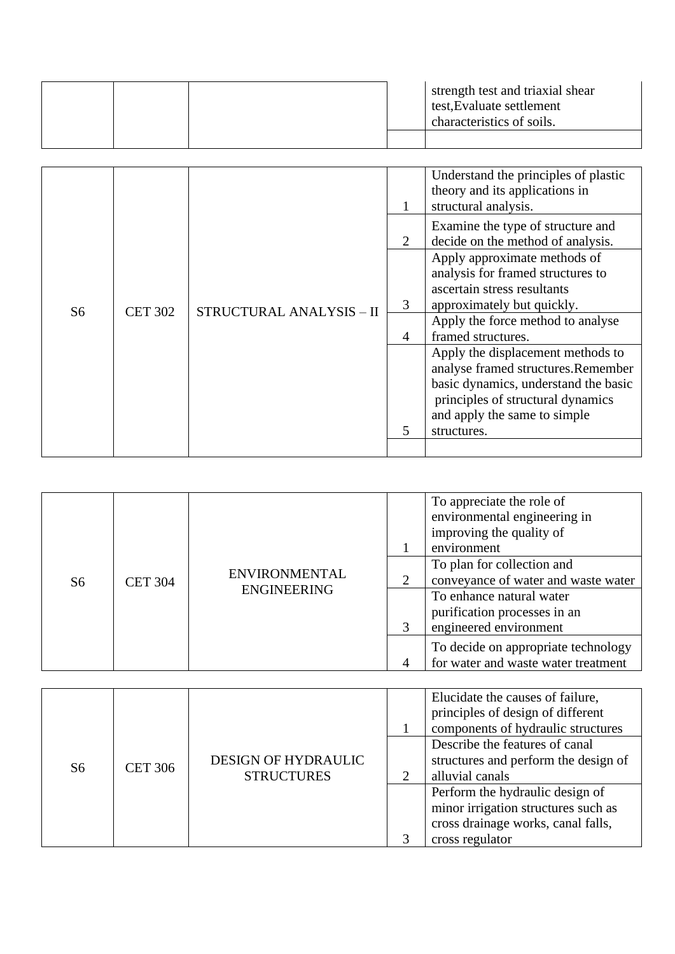|  |  | strength test and triaxial shear<br>test, Evaluate settlement<br>characteristics of soils. |
|--|--|--------------------------------------------------------------------------------------------|
|  |  |                                                                                            |

|                |                |                          |   | Understand the principles of plastic<br>theory and its applications in<br>structural analysis.                                                                                       |
|----------------|----------------|--------------------------|---|--------------------------------------------------------------------------------------------------------------------------------------------------------------------------------------|
|                | <b>CET 302</b> | STRUCTURAL ANALYSIS - II | 2 | Examine the type of structure and<br>decide on the method of analysis.                                                                                                               |
|                |                |                          |   | Apply approximate methods of<br>analysis for framed structures to<br>ascertain stress resultants                                                                                     |
| S <sub>6</sub> |                |                          | 3 | approximately but quickly.                                                                                                                                                           |
|                |                |                          | 4 | Apply the force method to analyse<br>framed structures.                                                                                                                              |
|                |                |                          |   | Apply the displacement methods to<br>analyse framed structures.Remember<br>basic dynamics, understand the basic<br>principles of structural dynamics<br>and apply the same to simple |
|                |                |                          |   | structures.                                                                                                                                                                          |
|                |                |                          |   |                                                                                                                                                                                      |

| S <sub>6</sub> | <b>CET 304</b> | <b>ENVIRONMENTAL</b><br><b>ENGINEERING</b> |                             | To appreciate the role of<br>environmental engineering in<br>improving the quality of<br>environment |
|----------------|----------------|--------------------------------------------|-----------------------------|------------------------------------------------------------------------------------------------------|
|                |                |                                            | $\mathcal{D}_{\mathcal{L}}$ | To plan for collection and<br>conveyance of water and waste water                                    |
|                |                |                                            | 3                           | To enhance natural water<br>purification processes in an<br>engineered environment                   |
|                |                |                                            |                             | To decide on appropriate technology<br>for water and waste water treatment                           |

|                |                |                                                 | Elucidate the causes of failure,<br>principles of design of different<br>components of hydraulic structures  |
|----------------|----------------|-------------------------------------------------|--------------------------------------------------------------------------------------------------------------|
| S <sub>6</sub> | <b>CET 306</b> | <b>DESIGN OF HYDRAULIC</b><br><b>STRUCTURES</b> | Describe the features of canal<br>structures and perform the design of<br>alluvial canals                    |
|                |                |                                                 | Perform the hydraulic design of<br>minor irrigation structures such as<br>cross drainage works, canal falls, |
|                |                |                                                 | cross regulator                                                                                              |